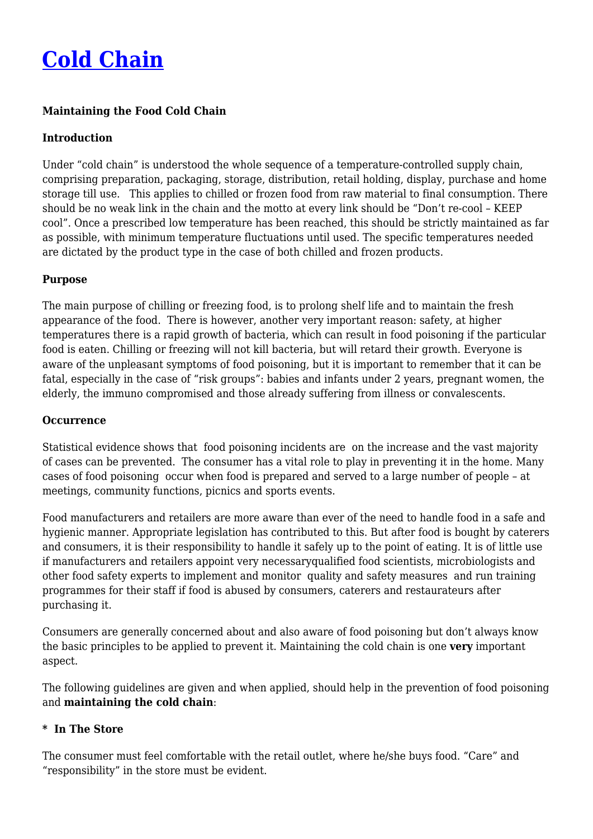# **[Cold Chain](http://foodfacts.org.za/cold-chain/)**

# **Maintaining the Food Cold Chain**

## **Introduction**

Under "cold chain" is understood the whole sequence of a temperature-controlled supply chain, comprising preparation, packaging, storage, distribution, retail holding, display, purchase and home storage till use. This applies to chilled or frozen food from raw material to final consumption. There should be no weak link in the chain and the motto at every link should be "Don't re-cool – KEEP cool". Once a prescribed low temperature has been reached, this should be strictly maintained as far as possible, with minimum temperature fluctuations until used. The specific temperatures needed are dictated by the product type in the case of both chilled and frozen products.

#### **Purpose**

The main purpose of chilling or freezing food, is to prolong shelf life and to maintain the fresh appearance of the food. There is however, another very important reason: safety, at higher temperatures there is a rapid growth of bacteria, which can result in food poisoning if the particular food is eaten. Chilling or freezing will not kill bacteria, but will retard their growth. Everyone is aware of the unpleasant symptoms of food poisoning, but it is important to remember that it can be fatal, especially in the case of "risk groups": babies and infants under 2 years, pregnant women, the elderly, the immuno compromised and those already suffering from illness or convalescents.

#### **Occurrence**

Statistical evidence shows that food poisoning incidents are on the increase and the vast majority of cases can be prevented. The consumer has a vital role to play in preventing it in the home. Many cases of food poisoning occur when food is prepared and served to a large number of people – at meetings, community functions, picnics and sports events.

Food manufacturers and retailers are more aware than ever of the need to handle food in a safe and hygienic manner. Appropriate legislation has contributed to this. But after food is bought by caterers and consumers, it is their responsibility to handle it safely up to the point of eating. It is of little use if manufacturers and retailers appoint very necessaryqualified food scientists, microbiologists and other food safety experts to implement and monitor quality and safety measures and run training programmes for their staff if food is abused by consumers, caterers and restaurateurs after purchasing it.

Consumers are generally concerned about and also aware of food poisoning but don't always know the basic principles to be applied to prevent it. Maintaining the cold chain is one **very** important aspect.

The following guidelines are given and when applied, should help in the prevention of food poisoning and **maintaining the cold chain**:

## **\* In The Store**

The consumer must feel comfortable with the retail outlet, where he/she buys food. "Care" and "responsibility" in the store must be evident.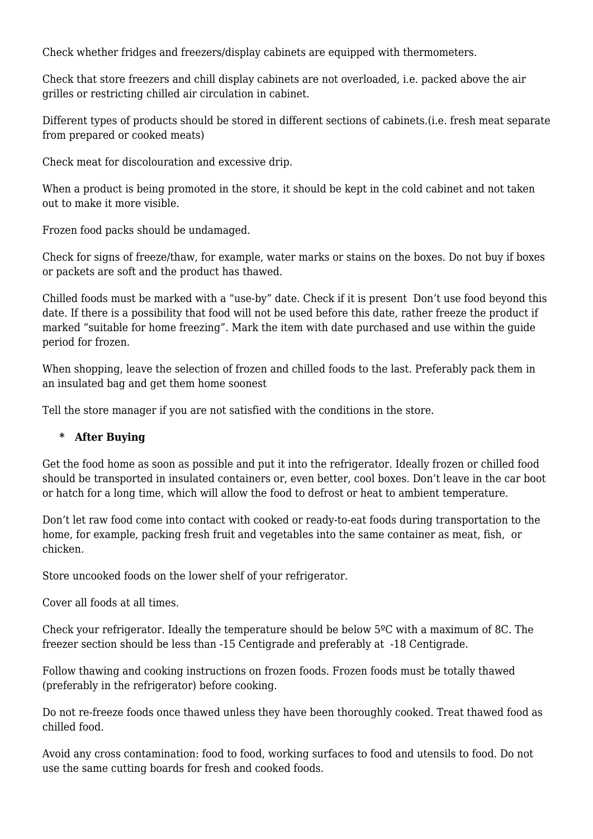Check whether fridges and freezers/display cabinets are equipped with thermometers.

Check that store freezers and chill display cabinets are not overloaded, i.e. packed above the air grilles or restricting chilled air circulation in cabinet.

Different types of products should be stored in different sections of cabinets.(i.e. fresh meat separate from prepared or cooked meats)

Check meat for discolouration and excessive drip.

When a product is being promoted in the store, it should be kept in the cold cabinet and not taken out to make it more visible.

Frozen food packs should be undamaged.

Check for signs of freeze/thaw, for example, water marks or stains on the boxes. Do not buy if boxes or packets are soft and the product has thawed.

Chilled foods must be marked with a "use-by" date. Check if it is present Don't use food beyond this date. If there is a possibility that food will not be used before this date, rather freeze the product if marked "suitable for home freezing". Mark the item with date purchased and use within the guide period for frozen.

When shopping, leave the selection of frozen and chilled foods to the last. Preferably pack them in an insulated bag and get them home soonest

Tell the store manager if you are not satisfied with the conditions in the store.

## **\* After Buying**

Get the food home as soon as possible and put it into the refrigerator. Ideally frozen or chilled food should be transported in insulated containers or, even better, cool boxes. Don't leave in the car boot or hatch for a long time, which will allow the food to defrost or heat to ambient temperature.

Don't let raw food come into contact with cooked or ready-to-eat foods during transportation to the home, for example, packing fresh fruit and vegetables into the same container as meat, fish, or chicken.

Store uncooked foods on the lower shelf of your refrigerator.

Cover all foods at all times.

Check your refrigerator. Ideally the temperature should be below 5ºC with a maximum of 8C. The freezer section should be less than -15 Centigrade and preferably at -18 Centigrade.

Follow thawing and cooking instructions on frozen foods. Frozen foods must be totally thawed (preferably in the refrigerator) before cooking.

Do not re-freeze foods once thawed unless they have been thoroughly cooked. Treat thawed food as chilled food.

Avoid any cross contamination: food to food, working surfaces to food and utensils to food. Do not use the same cutting boards for fresh and cooked foods.